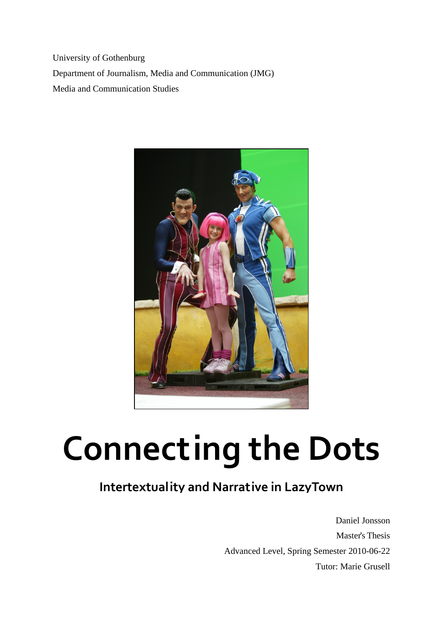University of Gothenburg Department of Journalism, Media and Communication (JMG) Media and Communication Studies



# **Connecting the Dots**

# **Intertextuality and Narrative in LazyTown**

Daniel Jonsson Master's Thesis Advanced Level, Spring Semester 2010-06-22 Tutor: Marie Grusell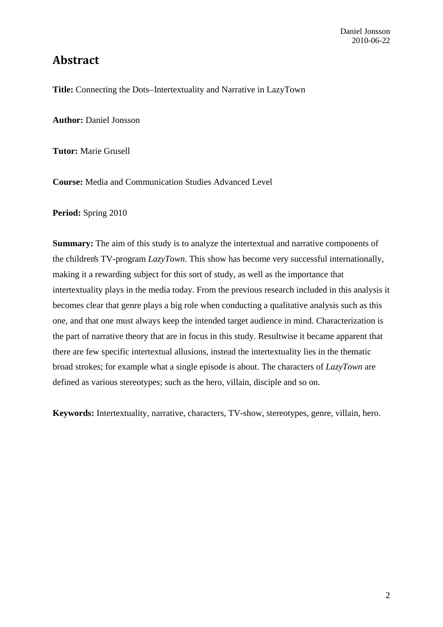## **Abstract**

Title: Connecting the Dots-Intertextuality and Narrative in LazyTown

**Author:** Daniel Jonsson

**Tutor:** Marie Grusell

**Course:** Media and Communication Studies Advanced Level

**Period:** Spring 2010

**Summary:** The aim of this study is to analyze the intertextual and narrative components of the children's TV-program *LazyTown*. This show has become very successful internationally, making it a rewarding subject for this sort of study, as well as the importance that intertextuality plays in the media today. From the previous research included in this analysis it becomes clear that genre plays a big role when conducting a qualitative analysis such as this one, and that one must always keep the intended target audience in mind. Characterization is the part of narrative theory that are in focus in this study. Resultwise it became apparent that there are few specific intertextual allusions, instead the intertextuality lies in the thematic broad strokes; for example what a single episode is about. The characters of *LazyTown* are defined as various stereotypes; such as the hero, villain, disciple and so on.

**Keywords:** Intertextuality, narrative, characters, TV-show, stereotypes, genre, villain, hero.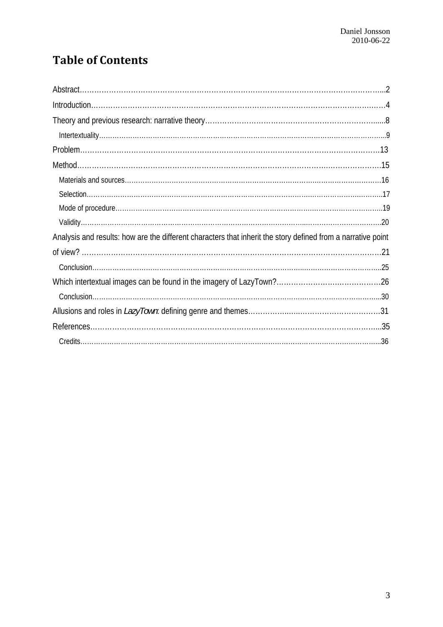# **Table of Contents**

| Analysis and results: how are the different characters that inherit the story defined from a narrative point |  |
|--------------------------------------------------------------------------------------------------------------|--|
|                                                                                                              |  |
|                                                                                                              |  |
|                                                                                                              |  |
|                                                                                                              |  |
|                                                                                                              |  |
|                                                                                                              |  |
|                                                                                                              |  |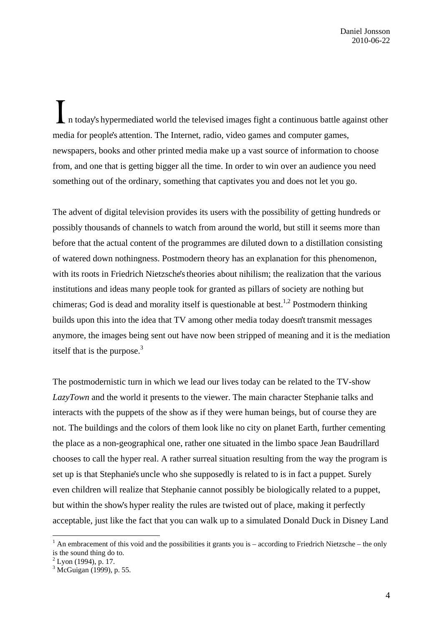$\Box$  n today's hypermediated world the televised images fight a continuous battle against other media for people's attention. The Internet, radio, video games and computer games, newspapers, books and other printed media make up a vast source of information to choose from, and one that is getting bigger all the time. In order to win over an audience you need something out of the ordinary, something that captivates you and does not let you go.

The advent of digital television provides its users with the possibility of getting hundreds or possibly thousands of channels to watch from around the world, but still it seems more than before that the actual content of the programmes are diluted down to a distillation consisting of watered down nothingness. Postmodern theory has an explanation for this phenomenon, with its roots in Friedrich Nietzsche's theories about nihilism; the realization that the various institutions and ideas many people took for granted as pillars of society are nothing but chimeras; God is dead and morality itself is questionable at best.<sup>1,2</sup> Postmodern thinking builds upon this into the idea that TV among other media today doesn't transmit messages anymore, the images being sent out have now been stripped of meaning and it is the mediation itself that is the purpose. $3$ 

The postmodernistic turn in which we lead our lives today can be related to the TV-show *LazyTown* and the world it presents to the viewer. The main character Stephanie talks and interacts with the puppets of the show as if they were human beings, but of course they are not. The buildings and the colors of them look like no city on planet Earth, further cementing the place as a non-geographical one, rather one situated in the limbo space Jean Baudrillard chooses to call the hyper real. A rather surreal situation resulting from the way the program is set up is that Stephanie's uncle who she supposedly is related to is in fact a puppet. Surely even children will realize that Stephanie cannot possibly be biologically related to a puppet, but within the show's hyper reality the rules are twisted out of place, making it perfectly acceptable, just like the fact that you can walk up to a simulated Donald Duck in Disney Land

<sup>&</sup>lt;sup>1</sup> An embracement of this void and the possibilities it grants you is – according to Friedrich Nietzsche – the only is the sound thing do to.

 $2$  Lyon (1994), p. 17.

<sup>3</sup> McGuigan (1999), p. 55.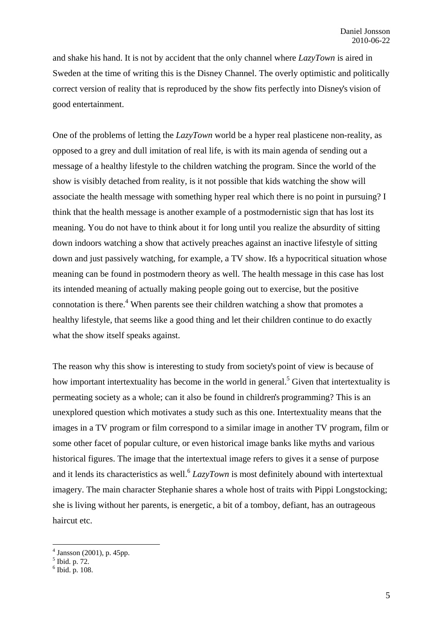and shake his hand. It is not by accident that the only channel where *LazyTown* is aired in Sweden at the time of writing this is the Disney Channel. The overly optimistic and politically correct version of reality that is reproduced by the show fits perfectly into Disney's vision of good entertainment.

One of the problems of letting the *LazyTown* world be a hyper real plasticene non-reality, as opposed to a grey and dull imitation of real life, is with its main agenda of sending out a message of a healthy lifestyle to the children watching the program. Since the world of the show is visibly detached from reality, is it not possible that kids watching the show will associate the health message with something hyper real which there is no point in pursuing? I think that the health message is another example of a postmodernistic sign that has lost its meaning. You do not have to think about it for long until you realize the absurdity of sitting down indoors watching a show that actively preaches against an inactive lifestyle of sitting down and just passively watching, for example, a TV show. It's a hypocritical situation whose meaning can be found in postmodern theory as well. The health message in this case has lost its intended meaning of actually making people going out to exercise, but the positive connotation is there. $4$  When parents see their children watching a show that promotes a healthy lifestyle, that seems like a good thing and let their children continue to do exactly what the show itself speaks against.

The reason why this show is interesting to study from society's point of view is because of how important intertextuality has become in the world in general.<sup>5</sup> Given that intertextuality is permeating society as a whole; can it also be found in children's programming? This is an unexplored question which motivates a study such as this one. Intertextuality means that the images in a TV program or film correspond to a similar image in another TV program, film or some other facet of popular culture, or even historical image banks like myths and various historical figures. The image that the intertextual image refers to gives it a sense of purpose and it lends its characteristics as well.<sup>6</sup> *LazyTown* is most definitely abound with intertextual imagery. The main character Stephanie shares a whole host of traits with Pippi Longstocking; she is living without her parents, is energetic, a bit of a tomboy, defiant, has an outrageous haircut etc.

<sup>4</sup> Jansson (2001), p. 45pp.

<sup>5</sup> Ibid. p. 72.

 $6$  Ibid. p. 108.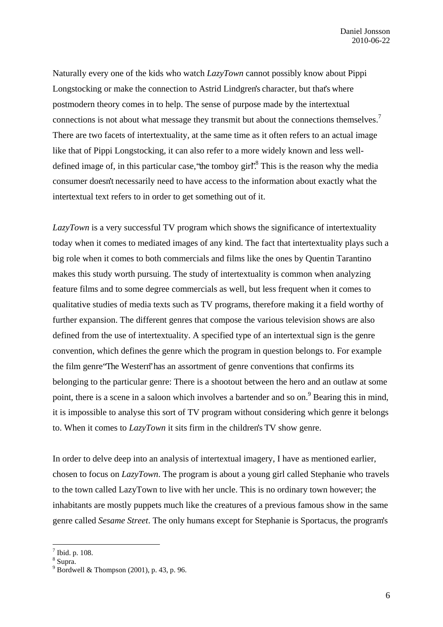Naturally every one of the kids who watch *LazyTown* cannot possibly know about Pippi Longstocking or make the connection to Astrid Lindgren's character, but that's where postmodern theory comes in to help. The sense of purpose made by the intertextual connections is not about what message they transmit but about the connections themselves.<sup>7</sup> There are two facets of intertextuality, at the same time as it often refers to an actual image like that of Pippi Longstocking, it can also refer to a more widely known and less welldefined image of, in this particular case, "the tomboy girl".<sup>8</sup> This is the reason why the media consumer doesn't necessarily need to have access to the information about exactly what the intertextual text refers to in order to get something out of it.

*LazyTown* is a very successful TV program which shows the significance of intertextuality today when it comes to mediated images of any kind. The fact that intertextuality plays such a big role when it comes to both commercials and films like the ones by Quentin Tarantino makes this study worth pursuing. The study of intertextuality is common when analyzing feature films and to some degree commercials as well, but less frequent when it comes to qualitative studies of media texts such as TV programs, therefore making it a field worthy of further expansion. The different genres that compose the various television shows are also defined from the use of intertextuality. A specified type of an intertextual sign is the genre convention, which defines the genre which the program in question belongs to. For example the film genre "The Western" has an assortment of genre conventions that confirms its belonging to the particular genre: There is a shootout between the hero and an outlaw at some point, there is a scene in a saloon which involves a bartender and so on.<sup>9</sup> Bearing this in mind, it is impossible to analyse this sort of TV program without considering which genre it belongs to. When it comes to *LazyTown* it sits firm in the children's TV show genre.

In order to delve deep into an analysis of intertextual imagery, I have as mentioned earlier, chosen to focus on *LazyTown*. The program is about a young girl called Stephanie who travels to the town called LazyTown to live with her uncle. This is no ordinary town however; the inhabitants are mostly puppets much like the creatures of a previous famous show in the same genre called *Sesame Street*. The only humans except for Stephanie is Sportacus, the program's

 $<sup>7</sup>$  Ibid. p. 108.</sup>

<sup>&</sup>lt;sup>8</sup> Supra.

<sup>9</sup> Bordwell & Thompson (2001), p. 43, p. 96.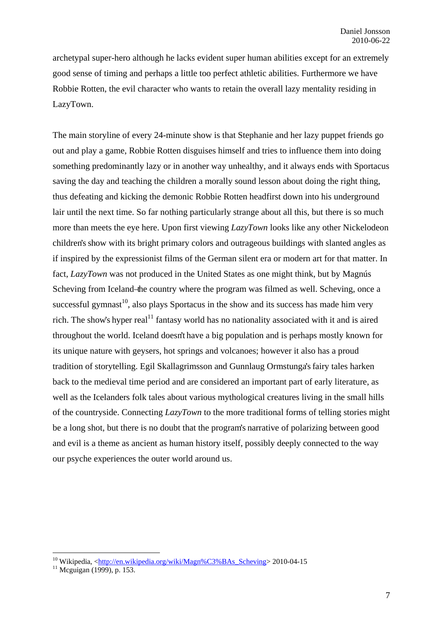archetypal super-hero although he lacks evident super human abilities except for an extremely good sense of timing and perhaps a little too perfect athletic abilities. Furthermore we have Robbie Rotten, the evil character who wants to retain the overall lazy mentality residing in LazyTown.

The main storyline of every 24-minute show is that Stephanie and her lazy puppet friends go out and play a game, Robbie Rotten disguises himself and tries to influence them into doing something predominantly lazy or in another way unhealthy, and it always ends with Sportacus saving the day and teaching the children a morally sound lesson about doing the right thing, thus defeating and kicking the demonic Robbie Rotten headfirst down into his underground lair until the next time. So far nothing particularly strange about all this, but there is so much more than meets the eye here. Upon first viewing *LazyTown* looks like any other Nickelodeon children's show with its bright primary colors and outrageous buildings with slanted angles as if inspired by the expressionist films of the German silent era or modern art for that matter. In fact, *LazyTown* was not produced in the United States as one might think, but by Magnús Scheving from Iceland–the country where the program was filmed as well. Scheving, once a successful gymnast<sup>10</sup>, also plays Sportacus in the show and its success has made him very rich. The show's hyper real<sup>11</sup> fantasy world has no nationality associated with it and is aired throughout the world. Iceland doesn't have a big population and is perhaps mostly known for its unique nature with geysers, hot springs and volcanoes; however it also has a proud tradition of storytelling. Egil Skallagrimsson and Gunnlaug Ormstunga's fairy tales harken back to the medieval time period and are considered an important part of early literature, as well as the Icelanders folk tales about various mythological creatures living in the small hills of the countryside. Connecting *LazyTown* to the more traditional forms of telling stories might be a long shot, but there is no doubt that the program's narrative of polarizing between good and evil is a theme as ancient as human history itself, possibly deeply connected to the way our psyche experiences the outer world around us.

<sup>&</sup>lt;sup>10</sup> Wikipedia, <<u>http://en.wikipedia.org/wiki/Magn%C3%BAs\_Scheving</u>> 2010-04-15<sup>11</sup> Mcguigan (1999), p. 153.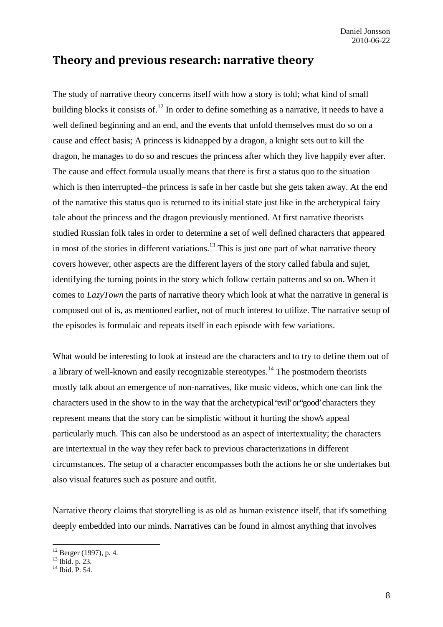## **Theory and previous research: narrative theory**

The study of narrative theory concerns itself with how a story is told; what kind of small building blocks it consists of.<sup>12</sup> In order to define something as a narrative, it needs to have a well defined beginning and an end, and the events that unfold themselves must do so on a cause and effect basis; A princess is kidnapped by a dragon, a knight sets out to kill the dragon, he manages to do so and rescues the princess after which they live happily ever after. The cause and effect formula usually means that there is first a status quo to the situation which is then interrupted–the princess is safe in her castle but she gets taken away. At the end of the narrative this status quo is returned to its initial state just like in the archetypical fairy tale about the princess and the dragon previously mentioned. At first narrative theorists studied Russian folk tales in order to determine a set of well defined characters that appeared in most of the stories in different variations.<sup>13</sup> This is just one part of what narrative theory covers however, other aspects are the different layers of the story called fabula and sujet, identifying the turning points in the story which follow certain patterns and so on. When it comes to *LazyTown* the parts of narrative theory which look at what the narrative in general is composed out of is, as mentioned earlier, not of much interest to utilize. The narrative setup of the episodes is formulaic and repeats itself in each episode with few variations.

What would be interesting to look at instead are the characters and to try to define them out of a library of well-known and easily recognizable stereotypes.<sup>14</sup> The postmodern theorists mostly talk about an emergence of non-narratives, like music videos, which one can link the characters used in the show to in the way that the archetypical "evil" or "good" characters they represent means that the story can be simplistic without it hurting the show's appeal particularly much. This can also be understood as an aspect of intertextuality; the characters are intertextual in the way they refer back to previous characterizations in different circumstances. The setup of a character encompasses both the actions he or she undertakes but also visual features such as posture and outfit.

Narrative theory claims that storytelling is as old as human existence itself, that it's something deeply embedded into our minds. Narratives can be found in almost anything that involves

<sup>12</sup> Berger (1997), p. 4.

<sup>13</sup> Ibid. p. 23.

<sup>14</sup> Ibid. P. 54.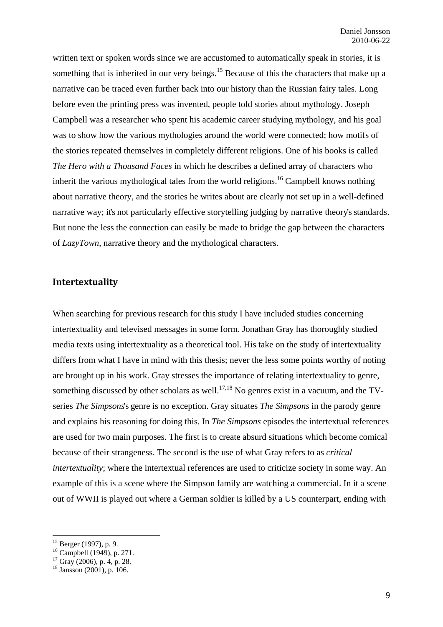written text or spoken words since we are accustomed to automatically speak in stories, it is something that is inherited in our very beings.<sup>15</sup> Because of this the characters that make up a narrative can be traced even further back into our history than the Russian fairy tales. Long before even the printing press was invented, people told stories about mythology. Joseph Campbell was a researcher who spent his academic career studying mythology, and his goal was to show how the various mythologies around the world were connected; how motifs of the stories repeated themselves in completely different religions. One of his books is called *The Hero with a Thousand Faces* in which he describes a defined array of characters who inherit the various mythological tales from the world religions.<sup>16</sup> Campbell knows nothing about narrative theory, and the stories he writes about are clearly not set up in a well-defined narrative way; it's not particularly effective storytelling judging by narrative theory's standards. But none the less the connection can easily be made to bridge the gap between the characters of *LazyTown*, narrative theory and the mythological characters.

#### **Intertextuality**

When searching for previous research for this study I have included studies concerning intertextuality and televised messages in some form. Jonathan Gray has thoroughly studied media texts using intertextuality as a theoretical tool. His take on the study of intertextuality differs from what I have in mind with this thesis; never the less some points worthy of noting are brought up in his work. Gray stresses the importance of relating intertextuality to genre, something discussed by other scholars as well.<sup>17,18</sup> No genres exist in a vacuum, and the TVseries *The Simpsons*'s genre is no exception. Gray situates *The Simpsons* in the parody genre and explains his reasoning for doing this. In *The Simpsons* episodes the intertextual references are used for two main purposes. The first is to create absurd situations which become comical because of their strangeness. The second is the use of what Gray refers to as *critical intertextuality*; where the intertextual references are used to criticize society in some way. An example of this is a scene where the Simpson family are watching a commercial. In it a scene out of WWII is played out where a German soldier is killed by a US counterpart, ending with

 $15$  Berger (1997), p. 9.

<sup>&</sup>lt;sup>16</sup> Campbell (1949), p. 271.

 $17$  Gray (2006), p. 4, p. 28.

 $18$  Jansson (2001), p. 106.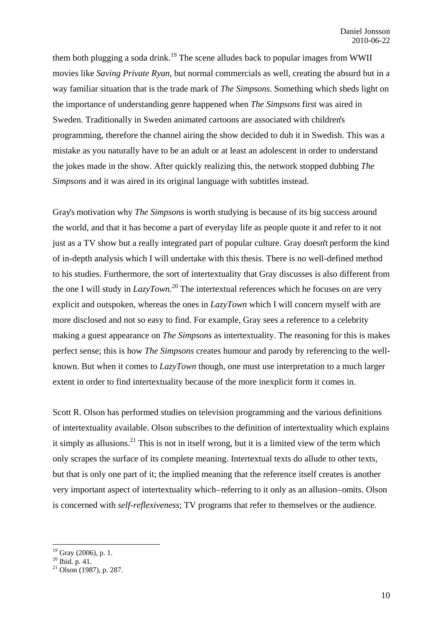them both plugging a soda drink.<sup>19</sup> The scene alludes back to popular images from WWII movies like *Saving Private Ryan*, but normal commercials as well, creating the absurd but in a way familiar situation that is the trade mark of *The Simpsons*. Something which sheds light on the importance of understanding genre happened when *The Simpsons* first was aired in Sweden. Traditionally in Sweden animated cartoons are associated with children's programming, therefore the channel airing the show decided to dub it in Swedish. This was a mistake as you naturally have to be an adult or at least an adolescent in order to understand the jokes made in the show. After quickly realizing this, the network stopped dubbing *The Simpsons* and it was aired in its original language with subtitles instead.

Gray's motivation why *The Simpsons* is worth studying is because of its big success around the world, and that it has become a part of everyday life as people quote it and refer to it not just as a TV show but a really integrated part of popular culture. Gray doesn't perform the kind of in-depth analysis which I will undertake with this thesis. There is no well-defined method to his studies. Furthermore, the sort of intertextuality that Gray discusses is also different from the one I will study in *LazyTown*. 20 The intertextual references which he focuses on are very explicit and outspoken, whereas the ones in *LazyTown* which I will concern myself with are more disclosed and not so easy to find. For example, Gray sees a reference to a celebrity making a guest appearance on *The Simpsons* as intertextuality. The reasoning for this is makes perfect sense; this is how *The Simpsons* creates humour and parody by referencing to the wellknown. But when it comes to *LazyTown* though, one must use interpretation to a much larger extent in order to find intertextuality because of the more inexplicit form it comes in.

Scott R. Olson has performed studies on television programming and the various definitions of intertextuality available. Olson subscribes to the definition of intertextuality which explains it simply as allusions.<sup>21</sup> This is not in itself wrong, but it is a limited view of the term which only scrapes the surface of its complete meaning. Intertextual texts do allude to other texts, but that is only one part of it; the implied meaning that the reference itself creates is another very important aspect of intertextuality which – referring to it only as an allusion – omits. Olson is concerned with *self-reflexiveness*; TV programs that refer to themselves or the audience.

 $19$  Gray (2006), p. 1.

 $^{20}$  Ibid. p. 41.

 $21$  Olson (1987), p. 287.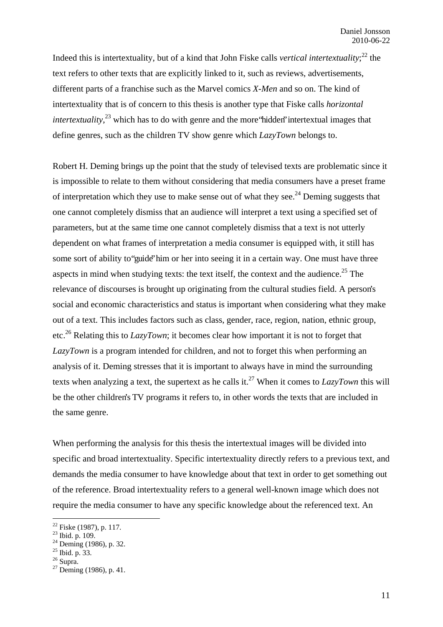Indeed this is intertextuality, but of a kind that John Fiske calls *vertical intertextuality*; 22 the text refers to other texts that are explicitly linked to it, such as reviews, advertisements, different parts of a franchise such as the Marvel comics *X-Men* and so on. The kind of intertextuality that is of concern to this thesis is another type that Fiske calls *horizontal intertextuality*,<sup>23</sup> which has to do with genre and the more 'hidden' intertextual images that define genres, such as the children TV show genre which *LazyTown* belongs to.

Robert H. Deming brings up the point that the study of televised texts are problematic since it is impossible to relate to them without considering that media consumers have a preset frame of interpretation which they use to make sense out of what they see.<sup>24</sup> Deming suggests that one cannot completely dismiss that an audience will interpret a text using a specified set of parameters, but at the same time one cannot completely dismiss that a text is not utterly dependent on what frames of interpretation a media consumer is equipped with, it still has some sort of ability to "guide" him or her into seeing it in a certain way. One must have three aspects in mind when studying texts: the text itself, the context and the audience.<sup>25</sup> The relevance of discourses is brought up originating from the cultural studies field. A person's social and economic characteristics and status is important when considering what they make out of a text. This includes factors such as class, gender, race, region, nation, ethnic group, etc.26 Relating this to *LazyTown*; it becomes clear how important it is not to forget that *LazyTown* is a program intended for children, and not to forget this when performing an analysis of it. Deming stresses that it is important to always have in mind the surrounding texts when analyzing a text, the supertext as he calls it.27 When it comes to *LazyTown* this will be the other children's TV programs it refers to, in other words the texts that are included in the same genre.

When performing the analysis for this thesis the intertextual images will be divided into specific and broad intertextuality. Specific intertextuality directly refers to a previous text, and demands the media consumer to have knowledge about that text in order to get something out of the reference. Broad intertextuality refers to a general well-known image which does not require the media consumer to have any specific knowledge about the referenced text. An

<sup>22</sup> Fiske (1987), p. 117.

<sup>&</sup>lt;sup>23</sup> Ibid. p. 109.

 $^{24}$  Deming (1986), p. 32.

 $^{25}$  Ibid. p. 33.

 $26$  Supra.

 $27$  Deming (1986), p. 41.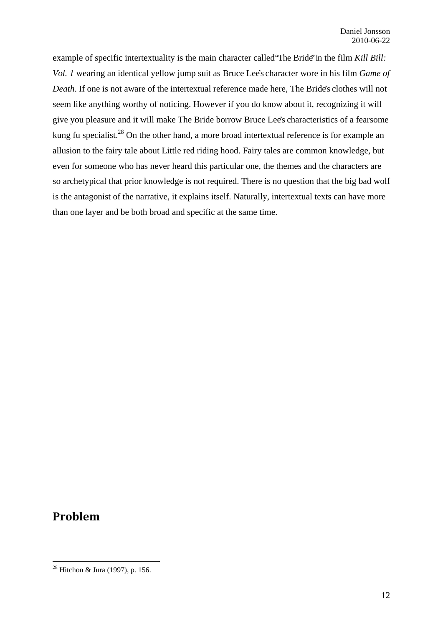example of specific intertextuality is the main character called "The Bride" in the film *Kill Bill: Vol. 1* wearing an identical yellow jump suit as Bruce Lee's character wore in his film *Game of Death*. If one is not aware of the intertextual reference made here, The Bride's clothes will not seem like anything worthy of noticing. However if you do know about it, recognizing it will give you pleasure and it will make The Bride borrow Bruce Lee's characteristics of a fearsome kung fu specialist.<sup>28</sup> On the other hand, a more broad intertextual reference is for example an allusion to the fairy tale about Little red riding hood. Fairy tales are common knowledge, but even for someone who has never heard this particular one, the themes and the characters are so archetypical that prior knowledge is not required. There is no question that the big bad wolf is the antagonist of the narrative, it explains itself. Naturally, intertextual texts can have more than one layer and be both broad and specific at the same time.

## **Problem**

<sup>&</sup>lt;sup>28</sup> Hitchon & Jura (1997), p. 156.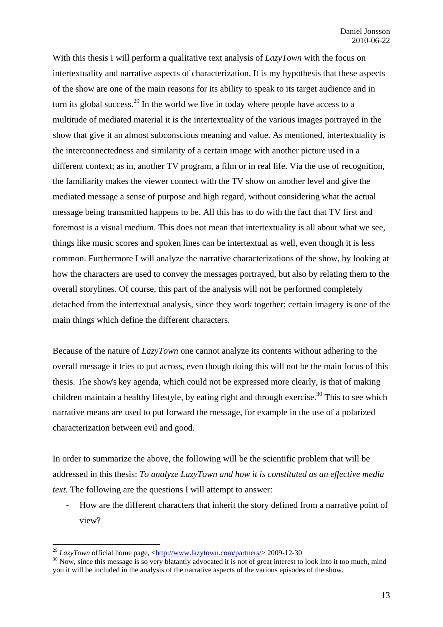With this thesis I will perform a qualitative text analysis of *LazyTown* with the focus on intertextuality and narrative aspects of characterization. It is my hypothesis that these aspects of the show are one of the main reasons for its ability to speak to its target audience and in turn its global success.<sup>29</sup> In the world we live in today where people have access to a multitude of mediated material it is the intertextuality of the various images portrayed in the show that give it an almost subconscious meaning and value. As mentioned, intertextuality is the interconnectedness and similarity of a certain image with another picture used in a different context; as in, another TV program, a film or in real life. Via the use of recognition, the familiarity makes the viewer connect with the TV show on another level and give the mediated message a sense of purpose and high regard, without considering what the actual message being transmitted happens to be. All this has to do with the fact that TV first and foremost is a visual medium. This does not mean that intertextuality is all about what we see, things like music scores and spoken lines can be intertextual as well, even though it is less common. Furthermore I will analyze the narrative characterizations of the show, by looking at how the characters are used to convey the messages portrayed, but also by relating them to the overall storylines. Of course, this part of the analysis will not be performed completely detached from the intertextual analysis, since they work together; certain imagery is one of the main things which define the different characters.

Because of the nature of *LazyTown* one cannot analyze its contents without adhering to the overall message it tries to put across, even though doing this will not be the main focus of this thesis. The show's key agenda, which could not be expressed more clearly, is that of making children maintain a healthy lifestyle, by eating right and through exercise.<sup>30</sup> This to see which narrative means are used to put forward the message, for example in the use of a polarized characterization between evil and good.

In order to summarize the above, the following will be the scientific problem that will be addressed in this thesis: *To analyze LazyTown and how it is constituted as an effective media text.* The following are the questions I will attempt to answer:

- How are the different characters that inherit the story defined from a narrative point of view?

<sup>&</sup>lt;sup>29</sup> *LazyTown* official home page,  $\frac{\text{http://www.lazytown.com/partners/}}{2009-12-30}$ <br><sup>30</sup> Now, since this message is so very blatantly advocated it is not of great interest to look into it too much, mind you it will be included in the analysis of the narrative aspects of the various episodes of the show.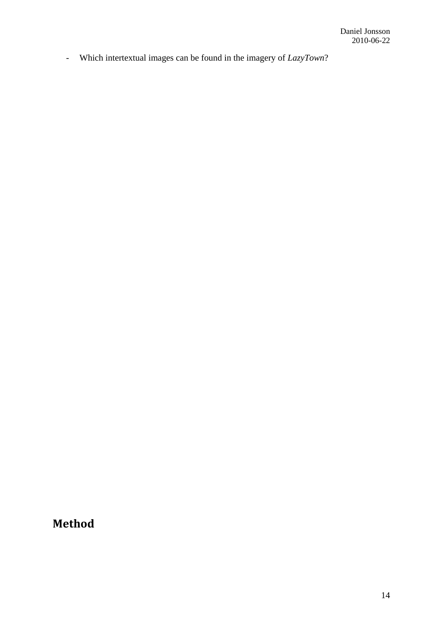- Which intertextual images can be found in the imagery of *LazyTown*?

**Method**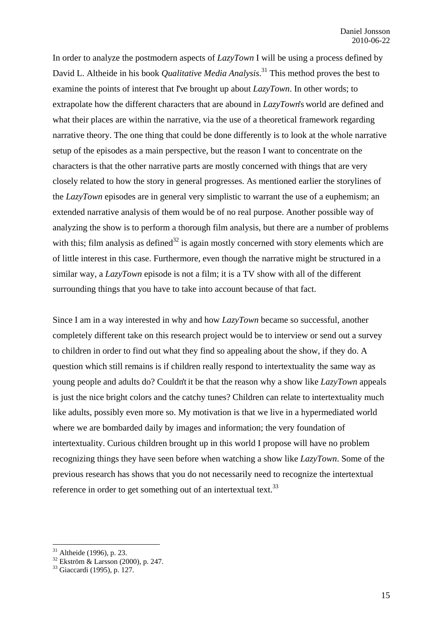In order to analyze the postmodern aspects of *LazyTown* I will be using a process defined by David L. Altheide in his book *Qualitative Media Analysis*. 31 This method proves the best to examine the points of interest that I've brought up about *LazyTown*. In other words; to extrapolate how the different characters that are abound in *LazyTown*'s world are defined and what their places are within the narrative, via the use of a theoretical framework regarding narrative theory. The one thing that could be done differently is to look at the whole narrative setup of the episodes as a main perspective, but the reason I want to concentrate on the characters is that the other narrative parts are mostly concerned with things that are very closely related to how the story in general progresses. As mentioned earlier the storylines of the *LazyTown* episodes are in general very simplistic to warrant the use of a euphemism; an extended narrative analysis of them would be of no real purpose. Another possible way of analyzing the show is to perform a thorough film analysis, but there are a number of problems with this; film analysis as defined<sup>32</sup> is again mostly concerned with story elements which are of little interest in this case. Furthermore, even though the narrative might be structured in a similar way, a *LazyTown* episode is not a film; it is a TV show with all of the different surrounding things that you have to take into account because of that fact.

Since I am in a way interested in why and how *LazyTown* became so successful, another completely different take on this research project would be to interview or send out a survey to children in order to find out what they find so appealing about the show, if they do. A question which still remains is if children really respond to intertextuality the same way as young people and adults do? Couldn't it be that the reason why a show like *LazyTown* appeals is just the nice bright colors and the catchy tunes? Children can relate to intertextuality much like adults, possibly even more so. My motivation is that we live in a hypermediated world where we are bombarded daily by images and information; the very foundation of intertextuality. Curious children brought up in this world I propose will have no problem recognizing things they have seen before when watching a show like *LazyTown*. Some of the previous research has shows that you do not necessarily need to recognize the intertextual reference in order to get something out of an intertextual text.<sup>33</sup>

 $31$  Altheide (1996), p. 23.

<sup>32</sup> Ekström & Larsson (2000), p. 247.

<sup>33</sup> Giaccardi (1995), p. 127.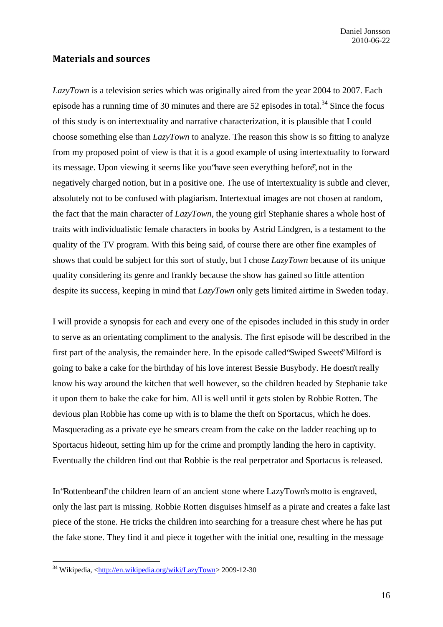#### **Materials and sources**

*LazyTown* is a television series which was originally aired from the year 2004 to 2007. Each episode has a running time of 30 minutes and there are  $52$  episodes in total.<sup>34</sup> Since the focus of this study is on intertextuality and narrative characterization, it is plausible that I could choose something else than *LazyTown* to analyze. The reason this show is so fitting to analyze from my proposed point of view is that it is a good example of using intertextuality to forward its message. Upon viewing it seems like you "have seen everything before", not in the negatively charged notion, but in a positive one. The use of intertextuality is subtle and clever, absolutely not to be confused with plagiarism. Intertextual images are not chosen at random, the fact that the main character of *LazyTown*, the young girl Stephanie shares a whole host of traits with individualistic female characters in books by Astrid Lindgren, is a testament to the quality of the TV program. With this being said, of course there are other fine examples of shows that could be subject for this sort of study, but I chose *LazyTown* because of its unique quality considering its genre and frankly because the show has gained so little attention despite its success, keeping in mind that *LazyTown* only gets limited airtime in Sweden today.

I will provide a synopsis for each and every one of the episodes included in this study in order to serve as an orientating compliment to the analysis. The first episode will be described in the first part of the analysis, the remainder here. In the episode called "Swiped Sweets" Milford is going to bake a cake for the birthday of his love interest Bessie Busybody. He doesn't really know his way around the kitchen that well however, so the children headed by Stephanie take it upon them to bake the cake for him. All is well until it gets stolen by Robbie Rotten. The devious plan Robbie has come up with is to blame the theft on Sportacus, which he does. Masquerading as a private eye he smears cream from the cake on the ladder reaching up to Sportacus hideout, setting him up for the crime and promptly landing the hero in captivity. Eventually the children find out that Robbie is the real perpetrator and Sportacus is released.

In "Rottenbeard" the children learn of an ancient stone where LazyTown's motto is engraved, only the last part is missing. Robbie Rotten disguises himself as a pirate and creates a fake last piece of the stone. He tricks the children into searching for a treasure chest where he has put the fake stone. They find it and piece it together with the initial one, resulting in the message

<sup>&</sup>lt;sup>34</sup> Wikipedia, <http://en.wikipedia.org/wiki/LazyTown> 2009-12-30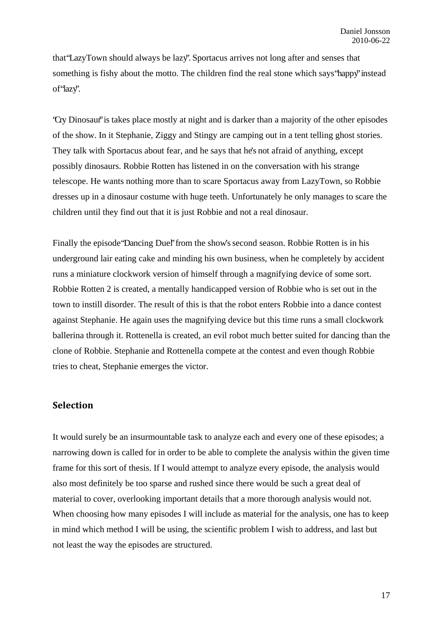that "LazyTown should always be lazy". Sportacus arrives not long after and senses that something is fishy about the motto. The children find the real stone which says "happy" instead of 'lazy'.

"Cry Dinosaur" is takes place mostly at night and is darker than a majority of the other episodes of the show. In it Stephanie, Ziggy and Stingy are camping out in a tent telling ghost stories. They talk with Sportacus about fear, and he says that he's not afraid of anything, except possibly dinosaurs. Robbie Rotten has listened in on the conversation with his strange telescope. He wants nothing more than to scare Sportacus away from LazyTown, so Robbie dresses up in a dinosaur costume with huge teeth. Unfortunately he only manages to scare the children until they find out that it is just Robbie and not a real dinosaur.

Finally the episode 'Dancing Duel' from the show's second season. Robbie Rotten is in his underground lair eating cake and minding his own business, when he completely by accident runs a miniature clockwork version of himself through a magnifying device of some sort. Robbie Rotten 2 is created, a mentally handicapped version of Robbie who is set out in the town to instill disorder. The result of this is that the robot enters Robbie into a dance contest against Stephanie. He again uses the magnifying device but this time runs a small clockwork ballerina through it. Rottenella is created, an evil robot much better suited for dancing than the clone of Robbie. Stephanie and Rottenella compete at the contest and even though Robbie tries to cheat, Stephanie emerges the victor.

#### **Selection**

It would surely be an insurmountable task to analyze each and every one of these episodes; a narrowing down is called for in order to be able to complete the analysis within the given time frame for this sort of thesis. If I would attempt to analyze every episode, the analysis would also most definitely be too sparse and rushed since there would be such a great deal of material to cover, overlooking important details that a more thorough analysis would not. When choosing how many episodes I will include as material for the analysis, one has to keep in mind which method I will be using, the scientific problem I wish to address, and last but not least the way the episodes are structured.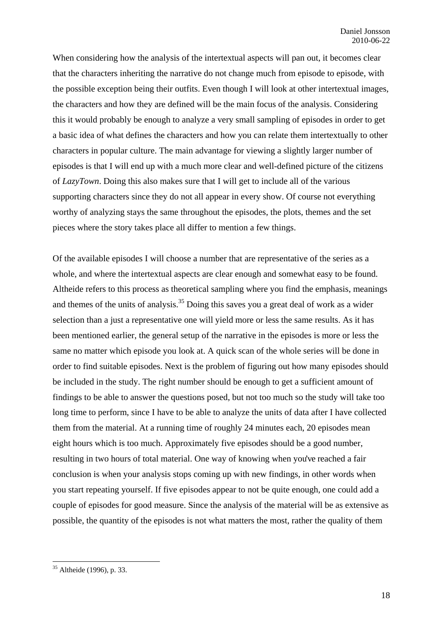When considering how the analysis of the intertextual aspects will pan out, it becomes clear that the characters inheriting the narrative do not change much from episode to episode, with the possible exception being their outfits. Even though I will look at other intertextual images, the characters and how they are defined will be the main focus of the analysis. Considering this it would probably be enough to analyze a very small sampling of episodes in order to get a basic idea of what defines the characters and how you can relate them intertextually to other characters in popular culture. The main advantage for viewing a slightly larger number of episodes is that I will end up with a much more clear and well-defined picture of the citizens of *LazyTown*. Doing this also makes sure that I will get to include all of the various supporting characters since they do not all appear in every show. Of course not everything worthy of analyzing stays the same throughout the episodes, the plots, themes and the set pieces where the story takes place all differ to mention a few things.

Of the available episodes I will choose a number that are representative of the series as a whole, and where the intertextual aspects are clear enough and somewhat easy to be found. Altheide refers to this process as theoretical sampling where you find the emphasis, meanings and themes of the units of analysis.<sup>35</sup> Doing this saves you a great deal of work as a wider selection than a just a representative one will yield more or less the same results. As it has been mentioned earlier, the general setup of the narrative in the episodes is more or less the same no matter which episode you look at. A quick scan of the whole series will be done in order to find suitable episodes. Next is the problem of figuring out how many episodes should be included in the study. The right number should be enough to get a sufficient amount of findings to be able to answer the questions posed, but not too much so the study will take too long time to perform, since I have to be able to analyze the units of data after I have collected them from the material. At a running time of roughly 24 minutes each, 20 episodes mean eight hours which is too much. Approximately five episodes should be a good number, resulting in two hours of total material. One way of knowing when you've reached a fair conclusion is when your analysis stops coming up with new findings, in other words when you start repeating yourself. If five episodes appear to not be quite enough, one could add a couple of episodes for good measure. Since the analysis of the material will be as extensive as possible, the quantity of the episodes is not what matters the most, rather the quality of them

 $35$  Altheide (1996), p. 33.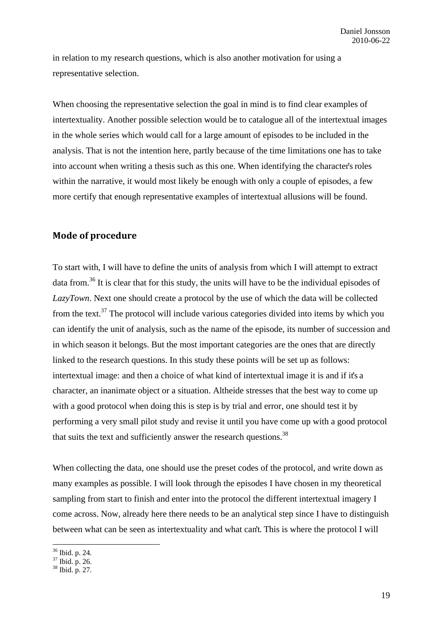in relation to my research questions, which is also another motivation for using a representative selection.

When choosing the representative selection the goal in mind is to find clear examples of intertextuality. Another possible selection would be to catalogue all of the intertextual images in the whole series which would call for a large amount of episodes to be included in the analysis. That is not the intention here, partly because of the time limitations one has to take into account when writing a thesis such as this one. When identifying the character's roles within the narrative, it would most likely be enough with only a couple of episodes, a few more certify that enough representative examples of intertextual allusions will be found.

#### **Mode of procedure**

To start with, I will have to define the units of analysis from which I will attempt to extract data from.<sup>36</sup> It is clear that for this study, the units will have to be the individual episodes of *LazyTown*. Next one should create a protocol by the use of which the data will be collected from the text. $37$  The protocol will include various categories divided into items by which you can identify the unit of analysis, such as the name of the episode, its number of succession and in which season it belongs. But the most important categories are the ones that are directly linked to the research questions. In this study these points will be set up as follows: intertextual image: and then a choice of what kind of intertextual image it is and if it's a character, an inanimate object or a situation. Altheide stresses that the best way to come up with a good protocol when doing this is step is by trial and error, one should test it by performing a very small pilot study and revise it until you have come up with a good protocol that suits the text and sufficiently answer the research questions.<sup>38</sup>

When collecting the data, one should use the preset codes of the protocol, and write down as many examples as possible. I will look through the episodes I have chosen in my theoretical sampling from start to finish and enter into the protocol the different intertextual imagery I come across. Now, already here there needs to be an analytical step since I have to distinguish between what can be seen as intertextuality and what can't. This is where the protocol I will

<sup>36</sup> Ibid. p. 24.

<sup>37</sup> Ibid. p. 26.

<sup>38</sup> Ibid. p. 27.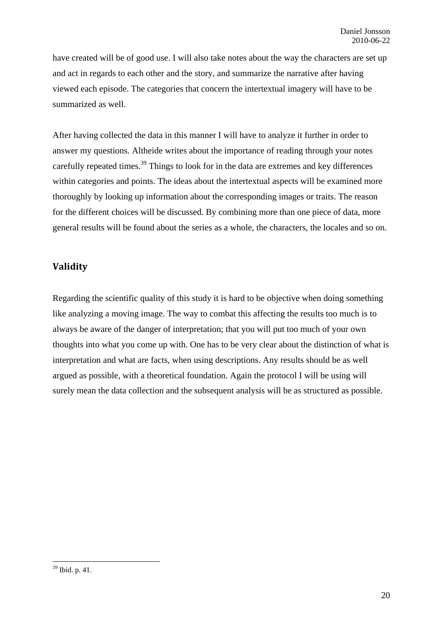have created will be of good use. I will also take notes about the way the characters are set up and act in regards to each other and the story, and summarize the narrative after having viewed each episode. The categories that concern the intertextual imagery will have to be summarized as well.

After having collected the data in this manner I will have to analyze it further in order to answer my questions. Altheide writes about the importance of reading through your notes carefully repeated times.<sup>39</sup> Things to look for in the data are extremes and key differences within categories and points. The ideas about the intertextual aspects will be examined more thoroughly by looking up information about the corresponding images or traits. The reason for the different choices will be discussed. By combining more than one piece of data, more general results will be found about the series as a whole, the characters, the locales and so on.

#### **Validity**

Regarding the scientific quality of this study it is hard to be objective when doing something like analyzing a moving image. The way to combat this affecting the results too much is to always be aware of the danger of interpretation; that you will put too much of your own thoughts into what you come up with. One has to be very clear about the distinction of what is interpretation and what are facts, when using descriptions. Any results should be as well argued as possible, with a theoretical foundation. Again the protocol I will be using will surely mean the data collection and the subsequent analysis will be as structured as possible.

<sup>39</sup> Ibid. p. 41.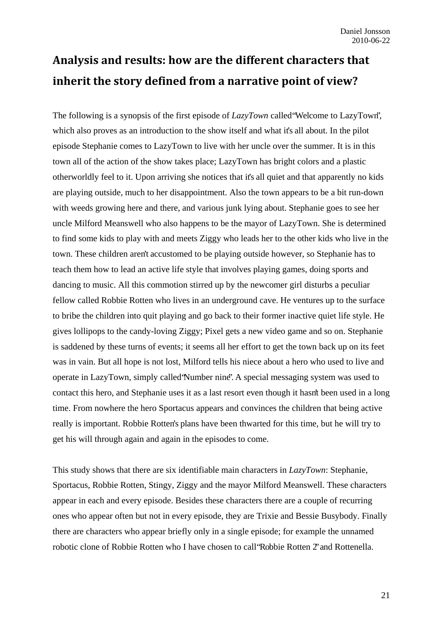# **Analysis and results: how are the different characters that inherit the story defined from a narrative point of view?**

The following is a synopsis of the first episode of *LazyTown* called "Welcome to LazyTown", which also proves as an introduction to the show itself and what it's all about. In the pilot episode Stephanie comes to LazyTown to live with her uncle over the summer. It is in this town all of the action of the show takes place; LazyTown has bright colors and a plastic otherworldly feel to it. Upon arriving she notices that it's all quiet and that apparently no kids are playing outside, much to her disappointment. Also the town appears to be a bit run-down with weeds growing here and there, and various junk lying about. Stephanie goes to see her uncle Milford Meanswell who also happens to be the mayor of LazyTown. She is determined to find some kids to play with and meets Ziggy who leads her to the other kids who live in the town. These children aren't accustomed to be playing outside however, so Stephanie has to teach them how to lead an active life style that involves playing games, doing sports and dancing to music. All this commotion stirred up by the newcomer girl disturbs a peculiar fellow called Robbie Rotten who lives in an underground cave. He ventures up to the surface to bribe the children into quit playing and go back to their former inactive quiet life style. He gives lollipops to the candy-loving Ziggy; Pixel gets a new video game and so on. Stephanie is saddened by these turns of events; it seems all her effort to get the town back up on its feet was in vain. But all hope is not lost, Milford tells his niece about a hero who used to live and operate in LazyTown, simply called "Number nine". A special messaging system was used to contact this hero, and Stephanie uses it as a last resort even though it hasn't been used in a long time. From nowhere the hero Sportacus appears and convinces the children that being active really is important. Robbie Rotten's plans have been thwarted for this time, but he will try to get his will through again and again in the episodes to come.

This study shows that there are six identifiable main characters in *LazyTown*: Stephanie, Sportacus, Robbie Rotten, Stingy, Ziggy and the mayor Milford Meanswell. These characters appear in each and every episode. Besides these characters there are a couple of recurring ones who appear often but not in every episode, they are Trixie and Bessie Busybody. Finally there are characters who appear briefly only in a single episode; for example the unnamed robotic clone of Robbie Rotten who I have chosen to call "Robbie Rotten 2" and Rottenella.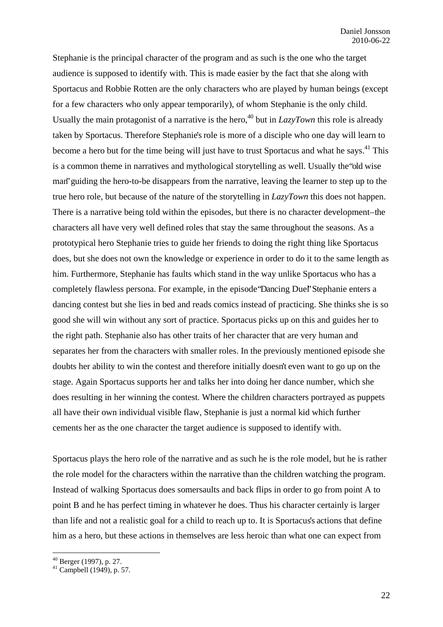Stephanie is the principal character of the program and as such is the one who the target audience is supposed to identify with. This is made easier by the fact that she along with Sportacus and Robbie Rotten are the only characters who are played by human beings (except for a few characters who only appear temporarily), of whom Stephanie is the only child. Usually the main protagonist of a narrative is the hero,<sup>40</sup> but in  $LazyTown$  this role is already taken by Sportacus. Therefore Stephanie's role is more of a disciple who one day will learn to become a hero but for the time being will just have to trust Sportacus and what he says.<sup>41</sup> This is a common theme in narratives and mythological storytelling as well. Usually the "old wise man" guiding the hero-to-be disappears from the narrative, leaving the learner to step up to the true hero role, but because of the nature of the storytelling in *LazyTown* this does not happen. There is a narrative being told within the episodes, but there is no character development – the characters all have very well defined roles that stay the same throughout the seasons. As a prototypical hero Stephanie tries to guide her friends to doing the right thing like Sportacus does, but she does not own the knowledge or experience in order to do it to the same length as him. Furthermore, Stephanie has faults which stand in the way unlike Sportacus who has a completely flawless persona. For example, in the episode "Dancing Duel" Stephanie enters a dancing contest but she lies in bed and reads comics instead of practicing. She thinks she is so good she will win without any sort of practice. Sportacus picks up on this and guides her to the right path. Stephanie also has other traits of her character that are very human and separates her from the characters with smaller roles. In the previously mentioned episode she doubts her ability to win the contest and therefore initially doesn't even want to go up on the stage. Again Sportacus supports her and talks her into doing her dance number, which she does resulting in her winning the contest. Where the children characters portrayed as puppets all have their own individual visible flaw, Stephanie is just a normal kid which further cements her as the one character the target audience is supposed to identify with.

Sportacus plays the hero role of the narrative and as such he is the role model, but he is rather the role model for the characters within the narrative than the children watching the program. Instead of walking Sportacus does somersaults and back flips in order to go from point A to point B and he has perfect timing in whatever he does. Thus his character certainly is larger than life and not a realistic goal for a child to reach up to. It is Sportacus's actions that define him as a hero, but these actions in themselves are less heroic than what one can expect from

 $40$  Berger (1997), p. 27.

 $41$  Campbell (1949), p. 57.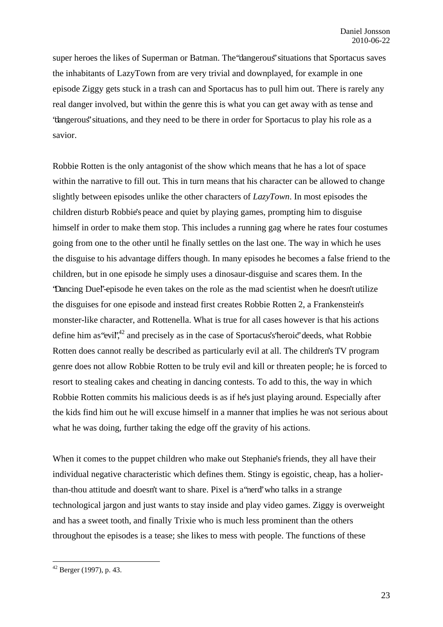super heroes the likes of Superman or Batman. The "dangerous" situations that Sportacus saves the inhabitants of LazyTown from are very trivial and downplayed, for example in one episode Ziggy gets stuck in a trash can and Sportacus has to pull him out. There is rarely any real danger involved, but within the genre this is what you can get away with as tense and "dangerous" situations, and they need to be there in order for Sportacus to play his role as a savior.

Robbie Rotten is the only antagonist of the show which means that he has a lot of space within the narrative to fill out. This in turn means that his character can be allowed to change slightly between episodes unlike the other characters of *LazyTown*. In most episodes the children disturb Robbie's peace and quiet by playing games, prompting him to disguise himself in order to make them stop. This includes a running gag where he rates four costumes going from one to the other until he finally settles on the last one. The way in which he uses the disguise to his advantage differs though. In many episodes he becomes a false friend to the children, but in one episode he simply uses a dinosaur-disguise and scares them. In the "Dancing Duel"-episode he even takes on the role as the mad scientist when he doesn't utilize the disguises for one episode and instead first creates Robbie Rotten 2, a Frankenstein's monster-like character, and Rottenella. What is true for all cases however is that his actions define him as "evil",<sup>42</sup> and precisely as in the case of Sportacus's "heroic" deeds, what Robbie Rotten does cannot really be described as particularly evil at all. The children's TV program genre does not allow Robbie Rotten to be truly evil and kill or threaten people; he is forced to resort to stealing cakes and cheating in dancing contests. To add to this, the way in which Robbie Rotten commits his malicious deeds is as if he's just playing around. Especially after the kids find him out he will excuse himself in a manner that implies he was not serious about what he was doing, further taking the edge off the gravity of his actions.

When it comes to the puppet children who make out Stephanie's friends, they all have their individual negative characteristic which defines them. Stingy is egoistic, cheap, has a holierthan-thou attitude and doesn't want to share. Pixel is a "nerd" who talks in a strange technological jargon and just wants to stay inside and play video games. Ziggy is overweight and has a sweet tooth, and finally Trixie who is much less prominent than the others throughout the episodes is a tease; she likes to mess with people. The functions of these

<sup>1</sup>  $42$  Berger (1997), p. 43.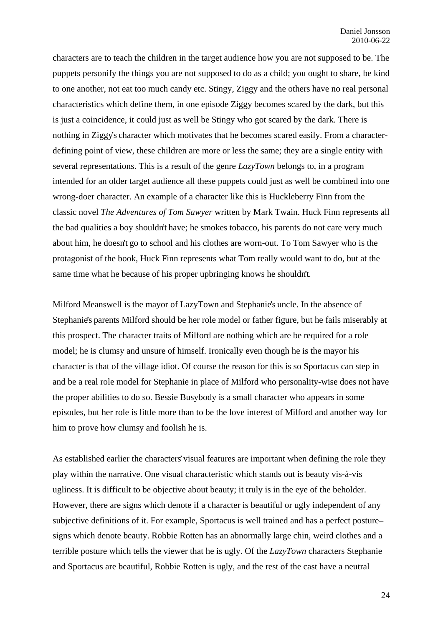characters are to teach the children in the target audience how you are not supposed to be. The puppets personify the things you are not supposed to do as a child; you ought to share, be kind to one another, not eat too much candy etc. Stingy, Ziggy and the others have no real personal characteristics which define them, in one episode Ziggy becomes scared by the dark, but this is just a coincidence, it could just as well be Stingy who got scared by the dark. There is nothing in Ziggy's character which motivates that he becomes scared easily. From a characterdefining point of view, these children are more or less the same; they are a single entity with several representations. This is a result of the genre *LazyTown* belongs to, in a program intended for an older target audience all these puppets could just as well be combined into one wrong-doer character. An example of a character like this is Huckleberry Finn from the classic novel *The Adventures of Tom Sawyer* written by Mark Twain. Huck Finn represents all the bad qualities a boy shouldn't have; he smokes tobacco, his parents do not care very much about him, he doesn't go to school and his clothes are worn-out. To Tom Sawyer who is the protagonist of the book, Huck Finn represents what Tom really would want to do, but at the same time what he because of his proper upbringing knows he shouldn't.

Milford Meanswell is the mayor of LazyTown and Stephanie's uncle. In the absence of Stephanie's parents Milford should be her role model or father figure, but he fails miserably at this prospect. The character traits of Milford are nothing which are be required for a role model; he is clumsy and unsure of himself. Ironically even though he is the mayor his character is that of the village idiot. Of course the reason for this is so Sportacus can step in and be a real role model for Stephanie in place of Milford who personality-wise does not have the proper abilities to do so. Bessie Busybody is a small character who appears in some episodes, but her role is little more than to be the love interest of Milford and another way for him to prove how clumsy and foolish he is.

As established earlier the characters' visual features are important when defining the role they play within the narrative. One visual characteristic which stands out is beauty vis-à-vis ugliness. It is difficult to be objective about beauty; it truly is in the eye of the beholder. However, there are signs which denote if a character is beautiful or ugly independent of any subjective definitions of it. For example, Sportacus is well trained and has a perfect posture – signs which denote beauty. Robbie Rotten has an abnormally large chin, weird clothes and a terrible posture which tells the viewer that he is ugly. Of the *LazyTown* characters Stephanie and Sportacus are beautiful, Robbie Rotten is ugly, and the rest of the cast have a neutral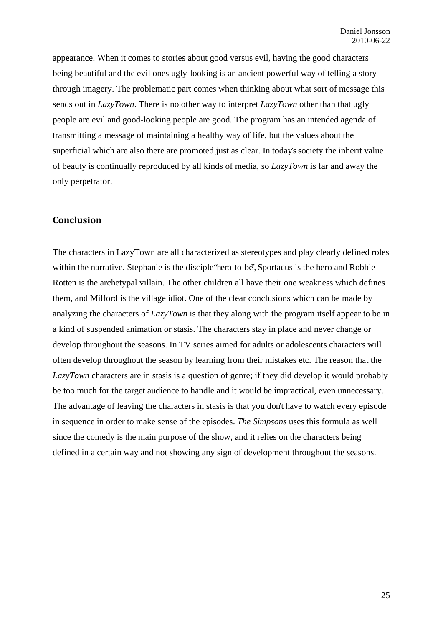appearance. When it comes to stories about good versus evil, having the good characters being beautiful and the evil ones ugly-looking is an ancient powerful way of telling a story through imagery. The problematic part comes when thinking about what sort of message this sends out in *LazyTown*. There is no other way to interpret *LazyTown* other than that ugly people are evil and good-looking people are good. The program has an intended agenda of transmitting a message of maintaining a healthy way of life, but the values about the superficial which are also there are promoted just as clear. In today's society the inherit value of beauty is continually reproduced by all kinds of media, so *LazyTown* is far and away the only perpetrator.

#### **Conclusion**

The characters in LazyTown are all characterized as stereotypes and play clearly defined roles within the narrative. Stephanie is the disciple "hero-to-be", Sportacus is the hero and Robbie Rotten is the archetypal villain. The other children all have their one weakness which defines them, and Milford is the village idiot. One of the clear conclusions which can be made by analyzing the characters of *LazyTown* is that they along with the program itself appear to be in a kind of suspended animation or stasis. The characters stay in place and never change or develop throughout the seasons. In TV series aimed for adults or adolescents characters will often develop throughout the season by learning from their mistakes etc. The reason that the *LazyTown* characters are in stasis is a question of genre; if they did develop it would probably be too much for the target audience to handle and it would be impractical, even unnecessary. The advantage of leaving the characters in stasis is that you don't have to watch every episode in sequence in order to make sense of the episodes. *The Simpsons* uses this formula as well since the comedy is the main purpose of the show, and it relies on the characters being defined in a certain way and not showing any sign of development throughout the seasons.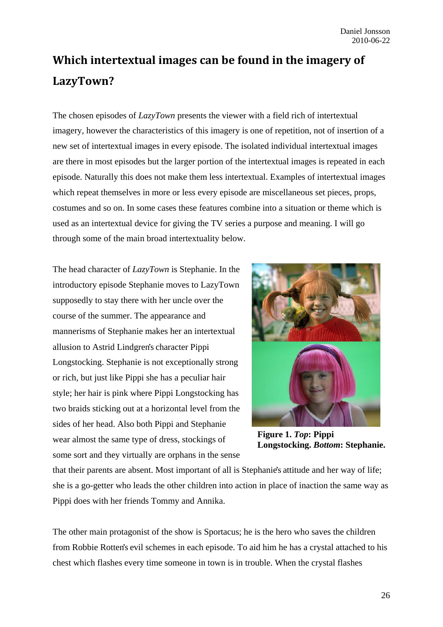# **Which intertextual images can be found in the imagery of LazyTown?**

The chosen episodes of *LazyTown* presents the viewer with a field rich of intertextual imagery, however the characteristics of this imagery is one of repetition, not of insertion of a new set of intertextual images in every episode. The isolated individual intertextual images are there in most episodes but the larger portion of the intertextual images is repeated in each episode. Naturally this does not make them less intertextual. Examples of intertextual images which repeat themselves in more or less every episode are miscellaneous set pieces, props, costumes and so on. In some cases these features combine into a situation or theme which is used as an intertextual device for giving the TV series a purpose and meaning. I will go through some of the main broad intertextuality below.

The head character of *LazyTown* is Stephanie. In the introductory episode Stephanie moves to LazyTown supposedly to stay there with her uncle over the course of the summer. The appearance and mannerisms of Stephanie makes her an intertextual allusion to Astrid Lindgren's character Pippi Longstocking. Stephanie is not exceptionally strong or rich, but just like Pippi she has a peculiar hair style; her hair is pink where Pippi Longstocking has two braids sticking out at a horizontal level from the sides of her head. Also both Pippi and Stephanie wear almost the same type of dress, stockings of some sort and they virtually are orphans in the sense



**Figure 1.** *Top***: Pippi Longstocking.** *Bottom***: Stephanie.**

that their parents are absent. Most important of all is Stephanie's attitude and her way of life; she is a go-getter who leads the other children into action in place of inaction the same way as Pippi does with her friends Tommy and Annika.

The other main protagonist of the show is Sportacus; he is the hero who saves the children from Robbie Rotten's evil schemes in each episode. To aid him he has a crystal attached to his chest which flashes every time someone in town is in trouble. When the crystal flashes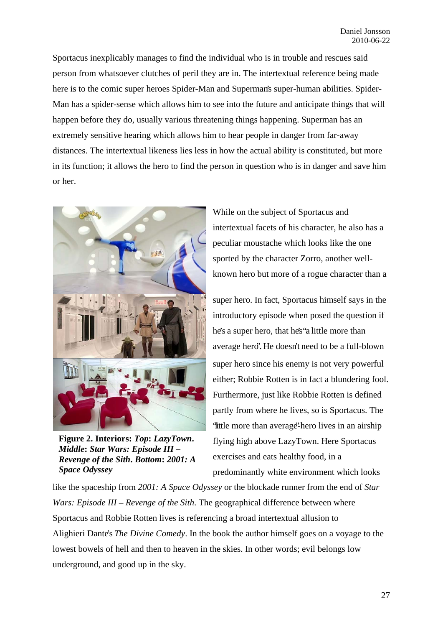Sportacus inexplicably manages to find the individual who is in trouble and rescues said person from whatsoever clutches of peril they are in. The intertextual reference being made here is to the comic super heroes Spider-Man and Superman's super-human abilities. Spider-Man has a spider-sense which allows him to see into the future and anticipate things that will happen before they do, usually various threatening things happening. Superman has an extremely sensitive hearing which allows him to hear people in danger from far-away distances. The intertextual likeness lies less in how the actual ability is constituted, but more in its function; it allows the hero to find the person in question who is in danger and save him or her.



**Figure 2. Interiors:** *Top***:** *LazyTown***.**  *Middle***:** *Star Wars: Episode III – Revenge of the Sith***.** *Bottom***:** *2001: A Space Odyssey* 

While on the subject of Sportacus and intertextual facets of his character, he also has a peculiar moustache which looks like the one sported by the character Zorro, another wellknown hero but more of a rogue character than a

super hero. In fact, Sportacus himself says in the introductory episode when posed the question if he's a super hero, that he's "a little more than average hero". He doesn't need to be a full-blown super hero since his enemy is not very powerful either; Robbie Rotten is in fact a blundering fool. Furthermore, just like Robbie Rotten is defined partly from where he lives, so is Sportacus. The "little more than average"-hero lives in an airship flying high above LazyTown. Here Sportacus exercises and eats healthy food, in a predominantly white environment which looks

like the spaceship from *2001: A Space Odyssey* or the blockade runner from the end of *Star Wars: Episode III – Revenge of the Sith*. The geographical difference between where Sportacus and Robbie Rotten lives is referencing a broad intertextual allusion to Alighieri Dante's *The Divine Comedy*. In the book the author himself goes on a voyage to the lowest bowels of hell and then to heaven in the skies. In other words; evil belongs low underground, and good up in the sky.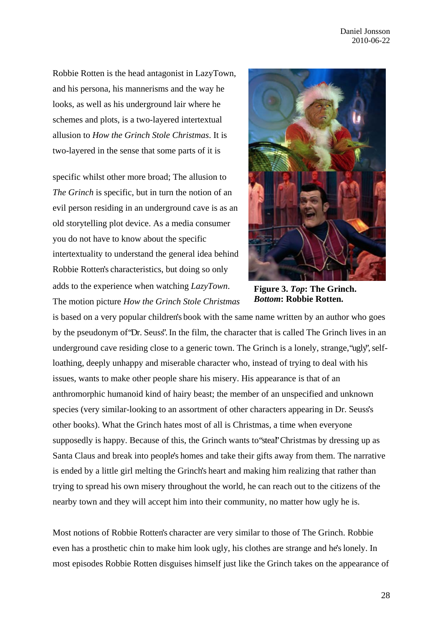Robbie Rotten is the head antagonist in LazyTown, and his persona, his mannerisms and the way he looks, as well as his underground lair where he schemes and plots, is a two-layered intertextual allusion to *How the Grinch Stole Christmas*. It is two-layered in the sense that some parts of it is

specific whilst other more broad; The allusion to *The Grinch* is specific, but in turn the notion of an evil person residing in an underground cave is as an old storytelling plot device. As a media consumer you do not have to know about the specific intertextuality to understand the general idea behind Robbie Rotten's characteristics, but doing so only adds to the experience when watching *LazyTown*. The motion picture *How the Grinch Stole Christmas*



**Figure 3.** *Top***: The Grinch.**  *Bottom***: Robbie Rotten.** 

is based on a very popular children's book with the same name written by an author who goes by the pseudonym of "Dr. Seuss". In the film, the character that is called The Grinch lives in an underground cave residing close to a generic town. The Grinch is a lonely, strange, "ugly", selfloathing, deeply unhappy and miserable character who, instead of trying to deal with his issues, wants to make other people share his misery. His appearance is that of an anthromorphic humanoid kind of hairy beast; the member of an unspecified and unknown species (very similar-looking to an assortment of other characters appearing in Dr. Seuss's other books). What the Grinch hates most of all is Christmas, a time when everyone supposedly is happy. Because of this, the Grinch wants to "steal" Christmas by dressing up as Santa Claus and break into people's homes and take their gifts away from them. The narrative is ended by a little girl melting the Grinch's heart and making him realizing that rather than trying to spread his own misery throughout the world, he can reach out to the citizens of the nearby town and they will accept him into their community, no matter how ugly he is.

Most notions of Robbie Rotten's character are very similar to those of The Grinch. Robbie even has a prosthetic chin to make him look ugly, his clothes are strange and he's lonely. In most episodes Robbie Rotten disguises himself just like the Grinch takes on the appearance of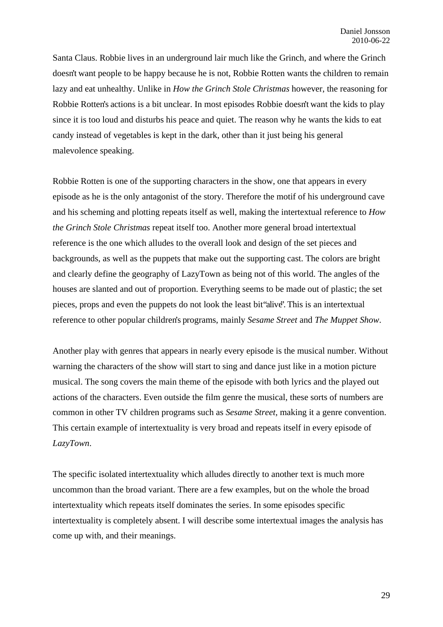Santa Claus. Robbie lives in an underground lair much like the Grinch, and where the Grinch doesn't want people to be happy because he is not, Robbie Rotten wants the children to remain lazy and eat unhealthy. Unlike in *How the Grinch Stole Christmas* however, the reasoning for Robbie Rotten's actions is a bit unclear. In most episodes Robbie doesn't want the kids to play since it is too loud and disturbs his peace and quiet. The reason why he wants the kids to eat candy instead of vegetables is kept in the dark, other than it just being his general malevolence speaking.

Robbie Rotten is one of the supporting characters in the show, one that appears in every episode as he is the only antagonist of the story. Therefore the motif of his underground cave and his scheming and plotting repeats itself as well, making the intertextual reference to *How the Grinch Stole Christmas* repeat itself too. Another more general broad intertextual reference is the one which alludes to the overall look and design of the set pieces and backgrounds, as well as the puppets that make out the supporting cast. The colors are bright and clearly define the geography of LazyTown as being not of this world. The angles of the houses are slanted and out of proportion. Everything seems to be made out of plastic; the set pieces, props and even the puppets do not look the least bit "alive". This is an intertextual reference to other popular children's programs, mainly *Sesame Street* and *The Muppet Show*.

Another play with genres that appears in nearly every episode is the musical number. Without warning the characters of the show will start to sing and dance just like in a motion picture musical. The song covers the main theme of the episode with both lyrics and the played out actions of the characters. Even outside the film genre the musical, these sorts of numbers are common in other TV children programs such as *Sesame Street*, making it a genre convention. This certain example of intertextuality is very broad and repeats itself in every episode of *LazyTown*.

The specific isolated intertextuality which alludes directly to another text is much more uncommon than the broad variant. There are a few examples, but on the whole the broad intertextuality which repeats itself dominates the series. In some episodes specific intertextuality is completely absent. I will describe some intertextual images the analysis has come up with, and their meanings.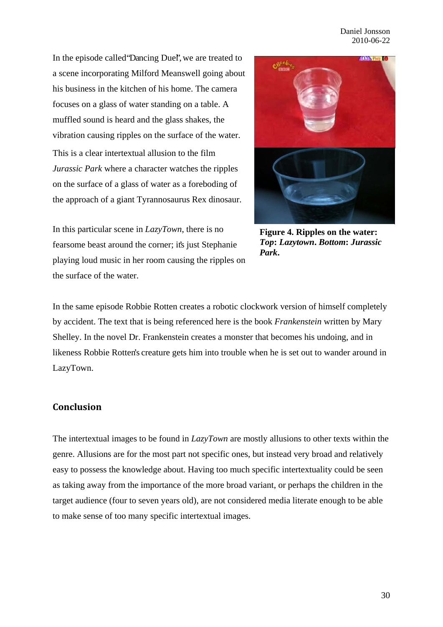Daniel Jonsson 2010-06-22

In the episode called "Dancing Duel", we are treated to a scene incorporating Milford Meanswell going about his business in the kitchen of his home. The camera focuses on a glass of water standing on a table. A muffled sound is heard and the glass shakes, the vibration causing ripples on the surface of the water.

This is a clear intertextual allusion to the film *Jurassic Park* where a character watches the ripples on the surface of a glass of water as a foreboding of the approach of a giant Tyrannosaurus Rex dinosaur.

In this particular scene in *LazyTown*, there is no fearsome beast around the corner; it's just Stephanie playing loud music in her room causing the ripples on the surface of the water.



**Figure 4. Ripples on the water:**  *Top***:** *Lazytown***.** *Bottom***:** *Jurassic Park***.**

In the same episode Robbie Rotten creates a robotic clockwork version of himself completely by accident. The text that is being referenced here is the book *Frankenstein* written by Mary Shelley. In the novel Dr. Frankenstein creates a monster that becomes his undoing, and in likeness Robbie Rotten's creature gets him into trouble when he is set out to wander around in LazyTown.

#### **Conclusion**

The intertextual images to be found in *LazyTown* are mostly allusions to other texts within the genre. Allusions are for the most part not specific ones, but instead very broad and relatively easy to possess the knowledge about. Having too much specific intertextuality could be seen as taking away from the importance of the more broad variant, or perhaps the children in the target audience (four to seven years old), are not considered media literate enough to be able to make sense of too many specific intertextual images.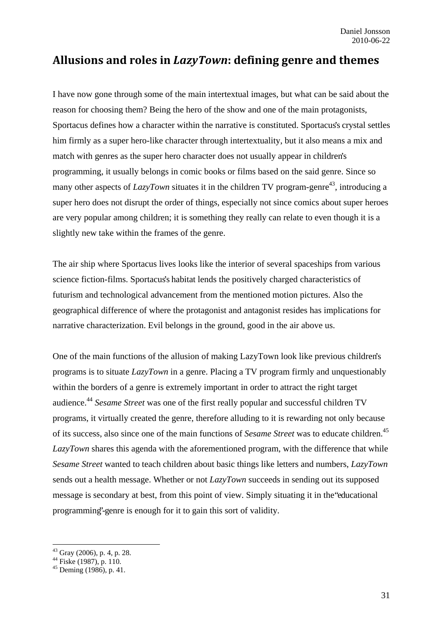# **Allusions and roles in** *LazyTown***: defining genre and themes**

I have now gone through some of the main intertextual images, but what can be said about the reason for choosing them? Being the hero of the show and one of the main protagonists, Sportacus defines how a character within the narrative is constituted. Sportacus's crystal settles him firmly as a super hero-like character through intertextuality, but it also means a mix and match with genres as the super hero character does not usually appear in children's programming, it usually belongs in comic books or films based on the said genre. Since so many other aspects of  $LazyTown$  situates it in the children TV program-genre<sup>43</sup>, introducing a super hero does not disrupt the order of things, especially not since comics about super heroes are very popular among children; it is something they really can relate to even though it is a slightly new take within the frames of the genre.

The air ship where Sportacus lives looks like the interior of several spaceships from various science fiction-films. Sportacus's habitat lends the positively charged characteristics of futurism and technological advancement from the mentioned motion pictures. Also the geographical difference of where the protagonist and antagonist resides has implications for narrative characterization. Evil belongs in the ground, good in the air above us.

One of the main functions of the allusion of making LazyTown look like previous children's programs is to situate *LazyTown* in a genre. Placing a TV program firmly and unquestionably within the borders of a genre is extremely important in order to attract the right target audience.44 *Sesame Street* was one of the first really popular and successful children TV programs, it virtually created the genre, therefore alluding to it is rewarding not only because of its success, also since one of the main functions of *Sesame Street* was to educate children.45 *LazyTown* shares this agenda with the aforementioned program, with the difference that while *Sesame Street* wanted to teach children about basic things like letters and numbers, *LazyTown* sends out a health message. Whether or not *LazyTown* succeeds in sending out its supposed message is secondary at best, from this point of view. Simply situating it in the "educational programming"-genre is enough for it to gain this sort of validity.

 $43$  Gray (2006), p. 4, p. 28.

<sup>44</sup> Fiske (1987), p. 110.

 $45$  Deming (1986), p. 41.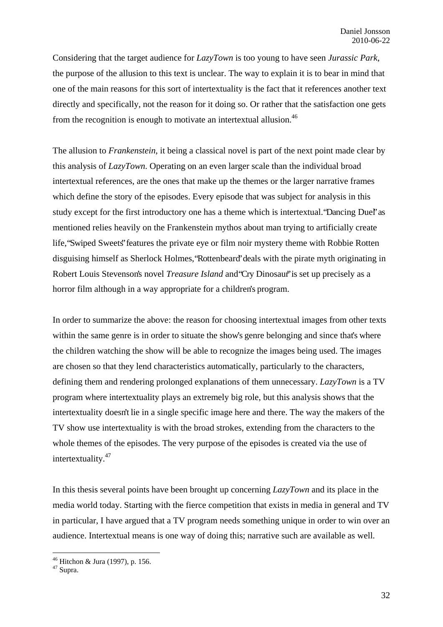Considering that the target audience for *LazyTown* is too young to have seen *Jurassic Park*, the purpose of the allusion to this text is unclear. The way to explain it is to bear in mind that one of the main reasons for this sort of intertextuality is the fact that it references another text directly and specifically, not the reason for it doing so. Or rather that the satisfaction one gets from the recognition is enough to motivate an intertextual allusion.<sup>46</sup>

The allusion to *Frankenstein*, it being a classical novel is part of the next point made clear by this analysis of *LazyTown*. Operating on an even larger scale than the individual broad intertextual references, are the ones that make up the themes or the larger narrative frames which define the story of the episodes. Every episode that was subject for analysis in this study except for the first introductory one has a theme which is intertextual. "Dancing Duel" as mentioned relies heavily on the Frankenstein mythos about man trying to artificially create life, "Swiped Sweets" features the private eye or film noir mystery theme with Robbie Rotten disguising himself as Sherlock Holmes, "Rottenbeard" deals with the pirate myth originating in Robert Louis Stevenson's novel *Treasure Island* and "Cry Dinosaur" is set up precisely as a horror film although in a way appropriate for a children's program.

In order to summarize the above: the reason for choosing intertextual images from other texts within the same genre is in order to situate the show's genre belonging and since that's where the children watching the show will be able to recognize the images being used. The images are chosen so that they lend characteristics automatically, particularly to the characters, defining them and rendering prolonged explanations of them unnecessary. *LazyTown* is a TV program where intertextuality plays an extremely big role, but this analysis shows that the intertextuality doesn't lie in a single specific image here and there. The way the makers of the TV show use intertextuality is with the broad strokes, extending from the characters to the whole themes of the episodes. The very purpose of the episodes is created via the use of intertextuality.<sup>47</sup>

In this thesis several points have been brought up concerning *LazyTown* and its place in the media world today. Starting with the fierce competition that exists in media in general and TV in particular, I have argued that a TV program needs something unique in order to win over an audience. Intertextual means is one way of doing this; narrative such are available as well.

<sup>46</sup> Hitchon & Jura (1997), p. 156.

<sup>47</sup> Supra.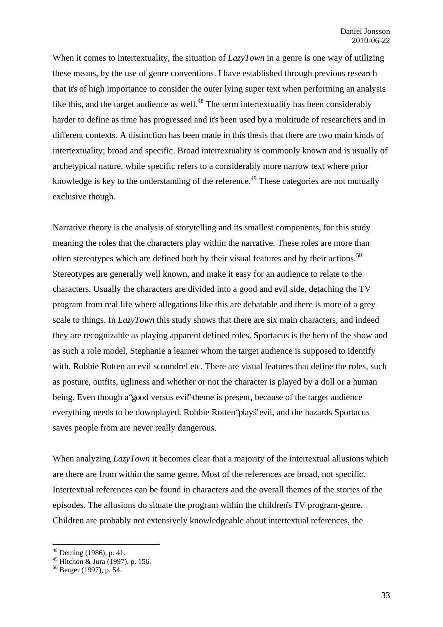When it comes to intertextuality, the situation of *LazyTown* in a genre is one way of utilizing these means, by the use of genre conventions. I have established through previous research that it's of high importance to consider the outer lying super text when performing an analysis like this, and the target audience as well.<sup>48</sup> The term intertextuality has been considerably harder to define as time has progressed and it's been used by a multitude of researchers and in different contexts. A distinction has been made in this thesis that there are two main kinds of intertextuality; broad and specific. Broad intertextuality is commonly known and is usually of archetypical nature, while specific refers to a considerably more narrow text where prior knowledge is key to the understanding of the reference.<sup> $49$ </sup> These categories are not mutually exclusive though.

Narrative theory is the analysis of storytelling and its smallest components, for this study meaning the roles that the characters play within the narrative. These roles are more than often stereotypes which are defined both by their visual features and by their actions.<sup>50</sup> Stereotypes are generally well known, and make it easy for an audience to relate to the characters. Usually the characters are divided into a good and evil side, detaching the TV program from real life where allegations like this are debatable and there is more of a grey scale to things. In *LazyTown* this study shows that there are six main characters, and indeed they are recognizable as playing apparent defined roles. Sportacus is the hero of the show and as such a role model, Stephanie a learner whom the target audience is supposed to identify with, Robbie Rotten an evil scoundrel etc. There are visual features that define the roles, such as posture, outfits, ugliness and whether or not the character is played by a doll or a human being. Even though a "good versus evil'-theme is present, because of the target audience everything needs to be downplayed. Robbie Rotten "plays" evil, and the hazards Sportacus saves people from are never really dangerous.

When analyzing *LazyTown* it becomes clear that a majority of the intertextual allusions which are there are from within the same genre. Most of the references are broad, not specific. Intertextual references can be found in characters and the overall themes of the stories of the episodes. The allusions do situate the program within the children's TV program-genre. Children are probably not extensively knowledgeable about intertextual references, the

 $48$  Deming (1986), p. 41.

<sup>49</sup> Hitchon & Jura (1997), p. 156.

 $50$  Berger (1997), p. 54.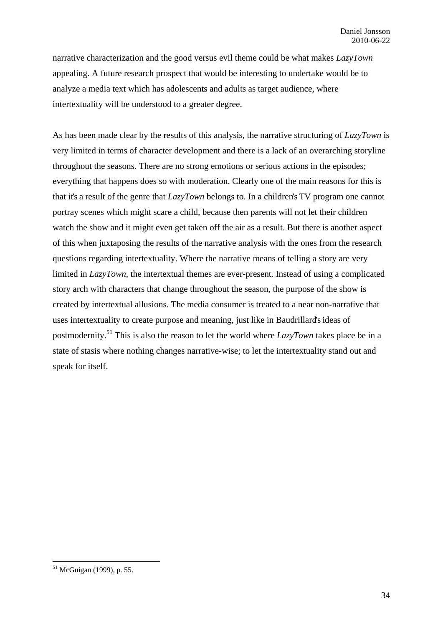narrative characterization and the good versus evil theme could be what makes *LazyTown* appealing. A future research prospect that would be interesting to undertake would be to analyze a media text which has adolescents and adults as target audience, where intertextuality will be understood to a greater degree.

As has been made clear by the results of this analysis, the narrative structuring of *LazyTown* is very limited in terms of character development and there is a lack of an overarching storyline throughout the seasons. There are no strong emotions or serious actions in the episodes; everything that happens does so with moderation. Clearly one of the main reasons for this is that it's a result of the genre that *LazyTown* belongs to. In a children's TV program one cannot portray scenes which might scare a child, because then parents will not let their children watch the show and it might even get taken off the air as a result. But there is another aspect of this when juxtaposing the results of the narrative analysis with the ones from the research questions regarding intertextuality. Where the narrative means of telling a story are very limited in *LazyTown*, the intertextual themes are ever-present. Instead of using a complicated story arch with characters that change throughout the season, the purpose of the show is created by intertextual allusions. The media consumer is treated to a near non-narrative that uses intertextuality to create purpose and meaning, just like in Baudrillard's ideas of postmodernity.51 This is also the reason to let the world where *LazyTown* takes place be in a state of stasis where nothing changes narrative-wise; to let the intertextuality stand out and speak for itself.

<sup>51</sup> McGuigan (1999), p. 55.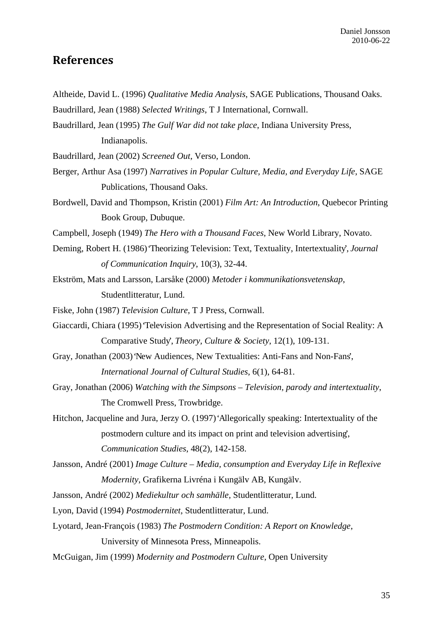## **References**

- Altheide, David L. (1996) *Qualitative Media Analysis*, SAGE Publications, Thousand Oaks.
- Baudrillard, Jean (1988) *Selected Writings*, T J International, Cornwall.
- Baudrillard, Jean (1995) *The Gulf War did not take place*, Indiana University Press, Indianapolis.
- Baudrillard, Jean (2002) *Screened Out*, Verso, London.
- Berger, Arthur Asa (1997) *Narratives in Popular Culture, Media, and Everyday Life*, SAGE Publications, Thousand Oaks.
- Bordwell, David and Thompson, Kristin (2001) *Film Art: An Introduction*, Quebecor Printing Book Group, Dubuque.
- Campbell, Joseph (1949) *The Hero with a Thousand Faces*, New World Library, Novato.
- Deming, Robert H. (1986) 'Theorizing Television: Text, Textuality, Intertextuality', *Journal of Communication Inquiry*, 10(3), 32-44.
- Ekström, Mats and Larsson, Larsåke (2000) *Metoder i kommunikationsvetenskap*, Studentlitteratur, Lund.
- Fiske, John (1987) *Television Culture*, T J Press, Cornwall.
- Giaccardi, Chiara (1995) 'Television Advertising and the Representation of Social Reality: A Comparative Study', *Theory, Culture & Society*, 12(1), 109-131.
- Gray, Jonathan (2003) 'New Audiences, New Textualities: Anti-Fans and Non-Fans', *International Journal of Cultural Studies*, 6(1), 64-81.
- Gray, Jonathan (2006) *Watching with the Simpsons Television, parody and intertextuality*, The Cromwell Press, Trowbridge.
- Hitchon, Jacqueline and Jura, Jerzy O. (1997) 'Allegorically speaking: Intertextuality of the postmodern culture and its impact on print and television advertising', *Communication Studies*, 48(2), 142-158.
- Jansson, André (2001) *Image Culture Media, consumption and Everyday Life in Reflexive Modernity*, Grafikerna Livréna i Kungälv AB, Kungälv.
- Jansson, André (2002) *Mediekultur och samhälle*, Studentlitteratur, Lund.
- Lyon, David (1994) *Postmodernitet*, Studentlitteratur, Lund.
- Lyotard, Jean-François (1983) *The Postmodern Condition: A Report on Knowledge*, University of Minnesota Press, Minneapolis.
- McGuigan, Jim (1999) *Modernity and Postmodern Culture*, Open University